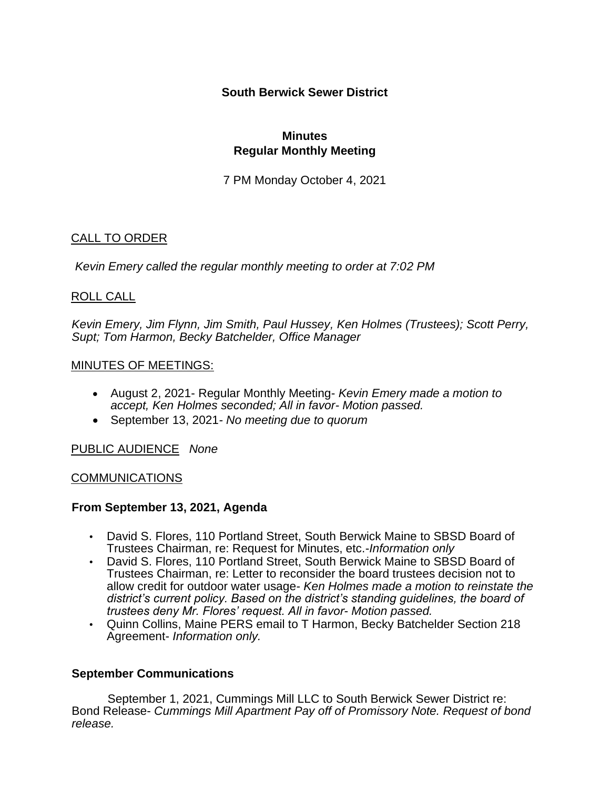# **South Berwick Sewer District**

### **Minutes Regular Monthly Meeting**

7 PM Monday October 4, 2021

# CALL TO ORDER

*Kevin Emery called the regular monthly meeting to order at 7:02 PM*

# ROLL CALL

*Kevin Emery, Jim Flynn, Jim Smith, Paul Hussey, Ken Holmes (Trustees); Scott Perry, Supt; Tom Harmon, Becky Batchelder, Office Manager*

### MINUTES OF MEETINGS:

- August 2, 2021- Regular Monthly Meeting- *Kevin Emery made a motion to accept, Ken Holmes seconded; All in favor- Motion passed.*
- September 13, 2021*- No meeting due to quorum*

### PUBLIC AUDIENCE *None*

#### COMMUNICATIONS

### **From September 13, 2021, Agenda**

- David S. Flores, 110 Portland Street, South Berwick Maine to SBSD Board of Trustees Chairman, re: Request for Minutes, etc.-*Information only*
- David S. Flores, 110 Portland Street, South Berwick Maine to SBSD Board of Trustees Chairman, re: Letter to reconsider the board trustees decision not to allow credit for outdoor water usage- *Ken Holmes made a motion to reinstate the district's current policy. Based on the district's standing guidelines, the board of trustees deny Mr. Flores' request. All in favor- Motion passed.*
- Quinn Collins, Maine PERS email to T Harmon, Becky Batchelder Section 218 Agreement- *Information only.*

### **September Communications**

September 1, 2021, Cummings Mill LLC to South Berwick Sewer District re: Bond Release- *Cummings Mill Apartment Pay off of Promissory Note. Request of bond release.*